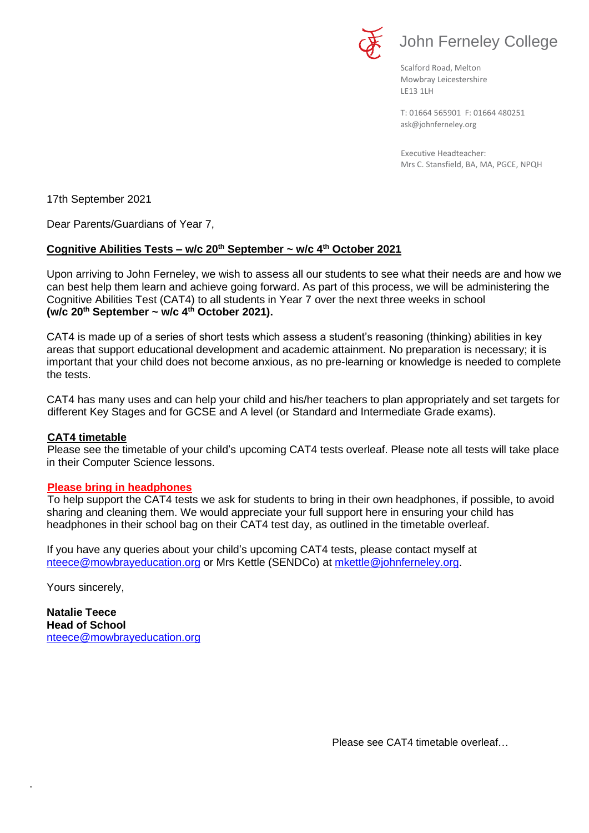

Scalford Road, Melton Mowbray Leicestershire LE13 1LH

[ask@johnferneley.org](mailto:ask@johnferneley.org) T: 01664 565901 F: 01664 480251

 Executive Headteacher: Mrs C. Stansfield, BA, MA, PGCE, NPQH

17th September 2021

Dear Parents/Guardians of Year 7,

## **Cognitive Abilities Tests – w/c 20th September ~ w/c 4th October 2021**

Upon arriving to John Ferneley, we wish to assess all our students to see what their needs are and how we can best help them learn and achieve going forward. As part of this process, we will be administering the Cognitive Abilities Test (CAT4) to all students in Year 7 over the next three weeks in school **(w/c 20th September ~ w/c 4th October 2021).**

CAT4 is made up of a series of short tests which assess a student's reasoning (thinking) abilities in key areas that support educational development and academic attainment. No preparation is necessary; it is important that your child does not become anxious, as no pre-learning or knowledge is needed to complete the tests.

CAT4 has many uses and can help your child and his/her teachers to plan appropriately and set targets for different Key Stages and for GCSE and A level (or Standard and Intermediate Grade exams).

## **CAT4 timetable**

Please see the timetable of your child's upcoming CAT4 tests overleaf. Please note all tests will take place in their Computer Science lessons.

## **Please bring in headphones**

To help support the CAT4 tests we ask for students to bring in their own headphones, if possible, to avoid sharing and cleaning them. We would appreciate your full support here in ensuring your child has headphones in their school bag on their CAT4 test day, as outlined in the timetable overleaf.

If you have any queries about your child's upcoming CAT4 tests, please contact myself at [nteece@mowbrayeducation.org](mailto:nteece@mowbrayeducation.org) or Mrs Kettle (SENDCo) at [mkettle@johnferneley.org.](mailto:mkettle@johnferneley.org)

Yours sincerely,

.

**Natalie Teece Head of School**  [nteece@mowbrayeducation.org](mailto:nteece@mowbrayeducation.org)

Please see CAT4 timetable overleaf…